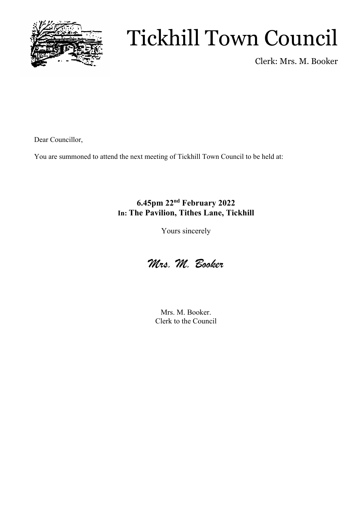

# Tickhill Town Council

Clerk: Mrs. M. Booker

Dear Councillor,

You are summoned to attend the next meeting of Tickhill Town Council to be held at:

### **6.45pm 22nd February 2022 In: The Pavilion, Tithes Lane, Tickhill**

Yours sincerely



Mrs. M. Booker. Clerk to the Council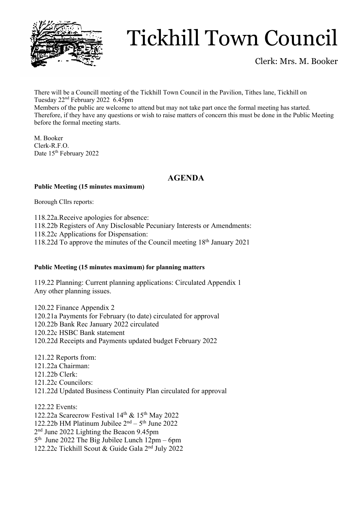

# Tickhill Town Council

Clerk: Mrs. M. Booker

There will be a Councill meeting of the Tickhill Town Council in the Pavilion, Tithes lane, Tickhill on Tuesday 22nd February 2022 6.45pm Members of the public are welcome to attend but may not take part once the formal meeting has started. Therefore, if they have any questions or wish to raise matters of concern this must be done in the Public Meeting before the formal meeting starts.

M. Booker Clerk-R.F.O. Date 15<sup>th</sup> February 2022

### **AGENDA**

### **Public Meeting (15 minutes maximum)**

Borough Cllrs reports:

118.22a.Receive apologies for absence:

118.22b Registers of Any Disclosable Pecuniary Interests or Amendments:

118.22c Applications for Dispensation:

118.22d To approve the minutes of the Council meeting 18th January 2021

### **Public Meeting (15 minutes maximum) for planning matters**

119.22 Planning: Current planning applications: Circulated Appendix 1 Any other planning issues.

120.22 Finance Appendix 2 120.21a Payments for February (to date) circulated for approval 120.22b Bank Rec January 2022 circulated 120.22c HSBC Bank statement 120.22d Receipts and Payments updated budget February 2022

121.22 Reports from: 121.22a Chairman: 121.22b Clerk: 121.22c Councilors: 121.22d Updated Business Continuity Plan circulated for approval

122.22 Events: 122.22a Scarecrow Festival 14<sup>th</sup> & 15<sup>th</sup> May 2022 122.22b HM Platinum Jubilee  $2<sup>nd</sup> - 5<sup>th</sup>$  June 2022 2nd June 2022 Lighting the Beacon 9.45pm  $5<sup>th</sup>$  June 2022 The Big Jubilee Lunch  $12<sup>2</sup>pm - 6pm$ 122.22c Tickhill Scout & Guide Gala 2nd July 2022